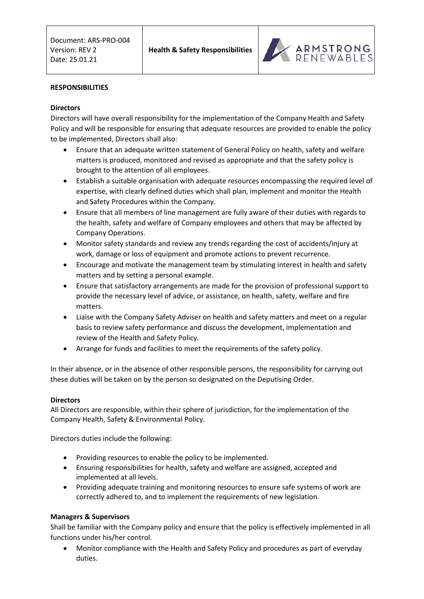

### **RESPONSIBILITIES**

## **Directors**

Directors will have overall responsibility for the implementation of the Company Health and Safety Policy and will be responsible for ensuring that adequate resources are provided to enable the policy to be implemented, Directors shall also:

- Ensure that an adequate written statement of General Policy on health, safety and welfare matters is produced, monitored and revised as appropriate and that the safety policy is brought to the attention of all employees.
- Establish a suitable organisation with adequate resources encompassing the required level of expertise, with clearly defined duties which shall plan, implement and monitor the Health and Safety Procedures within the Company.
- Ensure that all members of line management are fully aware of their duties with regards to the health, safety and welfare of Company employees and others that may be affected by Company Operations.
- Monitor safety standards and review any trends regarding the cost of accidents/injury at work, damage or loss of equipment and promote actions to prevent recurrence.
- Encourage and motivate the management team by stimulating interest in health and safety matters and by setting a personal example.
- Ensure that satisfactory arrangements are made for the provision of professional support to provide the necessary level of advice, or assistance, on health, safety, welfare and fire matters.
- Liaise with the Company Safety Adviser on health and safety matters and meet on a regular basis to review safety performance and discuss the development, implementation and review of the Health and Safety Policy.
- Arrange for funds and facilities to meet the requirements of the safety policy.

In their absence, or in the absence of other responsible persons, the responsibility for carrying out these duties will be taken on by the person so designated on the Deputising Order.

### **Directors**

All Directors are responsible, within their sphere of jurisdiction, for the implementation of the Company Health, Safety & Environmental Policy.

Directors duties include the following:

- Providing resources to enable the policy to be implemented.
- Ensuring responsibilities for health, safety and welfare are assigned, accepted and implemented at all levels.
- Providing adequate training and monitoring resources to ensure safe systems of work are correctly adhered to, and to implement the requirements of new legislation.

### **Managers & Supervisors**

Shall be familiar with the Company policy and ensure that the policy is effectively implemented in all functions under his/her control.

 Monitor compliance with the Health and Safety Policy and procedures as part of everyday duties.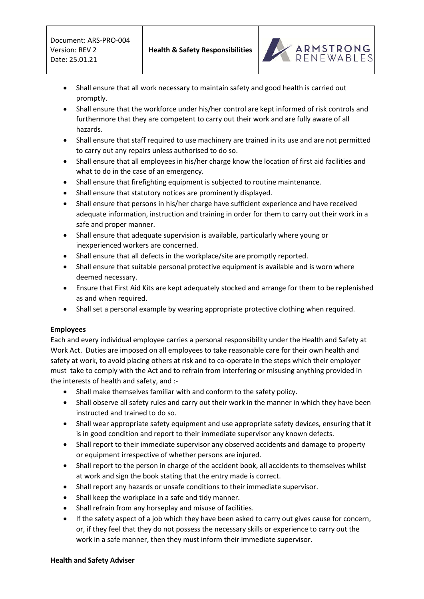

- Shall ensure that all work necessary to maintain safety and good health is carried out promptly.
- Shall ensure that the workforce under his/her control are kept informed of risk controls and furthermore that they are competent to carry out their work and are fully aware of all hazards.
- Shall ensure that staff required to use machinery are trained in its use and are not permitted to carry out any repairs unless authorised to do so.
- Shall ensure that all employees in his/her charge know the location of first aid facilities and what to do in the case of an emergency.
- Shall ensure that firefighting equipment is subjected to routine maintenance.
- Shall ensure that statutory notices are prominently displayed.
- Shall ensure that persons in his/her charge have sufficient experience and have received adequate information, instruction and training in order for them to carry out their work in a safe and proper manner.
- Shall ensure that adequate supervision is available, particularly where young or inexperienced workers are concerned.
- Shall ensure that all defects in the workplace/site are promptly reported.
- Shall ensure that suitable personal protective equipment is available and is worn where deemed necessary.
- Ensure that First Aid Kits are kept adequately stocked and arrange for them to be replenished as and when required.
- Shall set a personal example by wearing appropriate protective clothing when required.

# **Employees**

Each and every individual employee carries a personal responsibility under the Health and Safety at Work Act. Duties are imposed on all employees to take reasonable care for their own health and safety at work, to avoid placing others at risk and to co-operate in the steps which their employer must take to comply with the Act and to refrain from interfering or misusing anything provided in the interests of health and safety, and :-

- Shall make themselves familiar with and conform to the safety policy.
- Shall observe all safety rules and carry out their work in the manner in which they have been instructed and trained to do so.
- Shall wear appropriate safety equipment and use appropriate safety devices, ensuring that it is in good condition and report to their immediate supervisor any known defects.
- Shall report to their immediate supervisor any observed accidents and damage to property or equipment irrespective of whether persons are injured.
- Shall report to the person in charge of the accident book, all accidents to themselves whilst at work and sign the book stating that the entry made is correct.
- Shall report any hazards or unsafe conditions to their immediate supervisor.
- Shall keep the workplace in a safe and tidy manner.
- Shall refrain from any horseplay and misuse of facilities.
- If the safety aspect of a job which they have been asked to carry out gives cause for concern, or, if they feel that they do not possess the necessary skills or experience to carry out the work in a safe manner, then they must inform their immediate supervisor.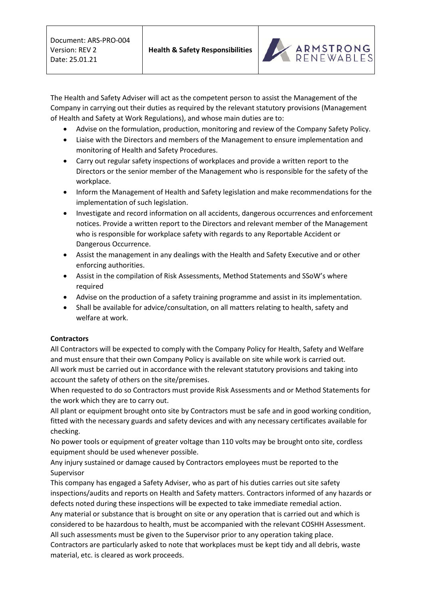

The Health and Safety Adviser will act as the competent person to assist the Management of the Company in carrying out their duties as required by the relevant statutory provisions (Management of Health and Safety at Work Regulations), and whose main duties are to:

- Advise on the formulation, production, monitoring and review of the Company Safety Policy.
- Liaise with the Directors and members of the Management to ensure implementation and monitoring of Health and Safety Procedures.
- Carry out regular safety inspections of workplaces and provide a written report to the Directors or the senior member of the Management who is responsible for the safety of the workplace.
- Inform the Management of Health and Safety legislation and make recommendations for the implementation of such legislation.
- Investigate and record information on all accidents, dangerous occurrences and enforcement notices. Provide a written report to the Directors and relevant member of the Management who is responsible for workplace safety with regards to any Reportable Accident or Dangerous Occurrence.
- Assist the management in any dealings with the Health and Safety Executive and or other enforcing authorities.
- Assist in the compilation of Risk Assessments, Method Statements and SSoW's where required
- Advise on the production of a safety training programme and assist in its implementation.
- Shall be available for advice/consultation, on all matters relating to health, safety and welfare at work.

# **Contractors**

All Contractors will be expected to comply with the Company Policy for Health, Safety and Welfare and must ensure that their own Company Policy is available on site while work is carried out. All work must be carried out in accordance with the relevant statutory provisions and taking into account the safety of others on the site/premises.

When requested to do so Contractors must provide Risk Assessments and or Method Statements for the work which they are to carry out.

All plant or equipment brought onto site by Contractors must be safe and in good working condition, fitted with the necessary guards and safety devices and with any necessary certificates available for checking.

No power tools or equipment of greater voltage than 110 volts may be brought onto site, cordless equipment should be used whenever possible.

Any injury sustained or damage caused by Contractors employees must be reported to the Supervisor

This company has engaged a Safety Adviser, who as part of his duties carries out site safety inspections/audits and reports on Health and Safety matters. Contractors informed of any hazards or defects noted during these inspections will be expected to take immediate remedial action. Any material or substance that is brought on site or any operation that is carried out and which is considered to be hazardous to health, must be accompanied with the relevant COSHH Assessment. All such assessments must be given to the Supervisor prior to any operation taking place. Contractors are particularly asked to note that workplaces must be kept tidy and all debris, waste material, etc. is cleared as work proceeds.